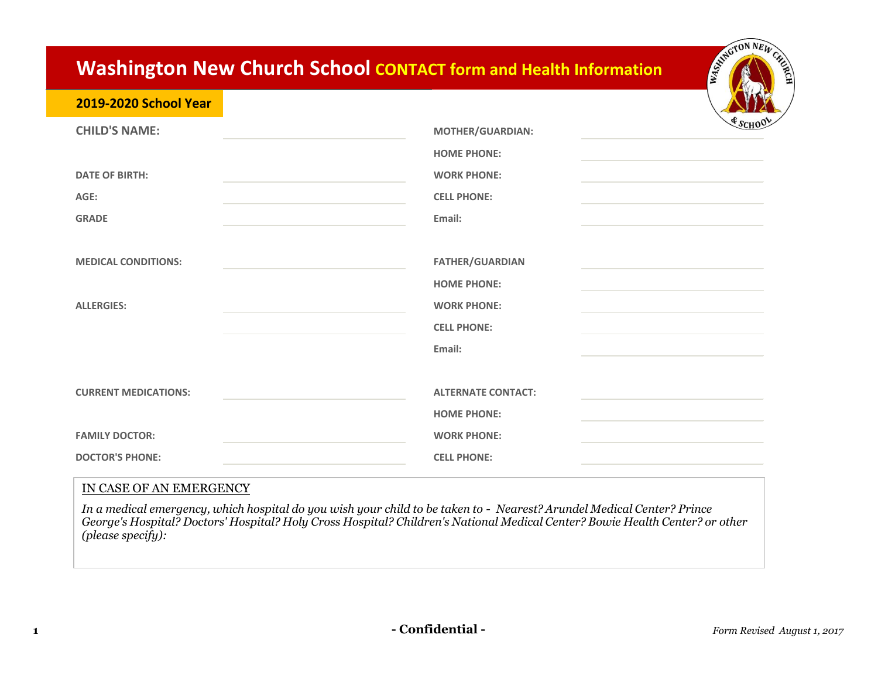## **Washington New Church School CONTACT form and Health Information**

## **2019-2020 School Year**

| <b>CHILD'S NAME:</b><br><b>DATE OF BIRTH:</b><br>AGE:<br><b>GRADE</b> | <b>MOTHER/GUARDIAN:</b><br><b>HOME PHONE:</b><br><b>WORK PHONE:</b><br><b>CELL PHONE:</b><br>Email: | $$s$ CHOO |
|-----------------------------------------------------------------------|-----------------------------------------------------------------------------------------------------|-----------|
| <b>MEDICAL CONDITIONS:</b><br><b>ALLERGIES:</b>                       | <b>FATHER/GUARDIAN</b><br><b>HOME PHONE:</b><br><b>WORK PHONE:</b>                                  |           |
| <b>CURRENT MEDICATIONS:</b>                                           | <b>CELL PHONE:</b><br>Email:<br><b>ALTERNATE CONTACT:</b>                                           |           |
| <b>FAMILY DOCTOR:</b><br><b>DOCTOR'S PHONE:</b>                       | <b>HOME PHONE:</b><br><b>WORK PHONE:</b><br><b>CELL PHONE:</b>                                      |           |

## IN CASE OF AN EMERGENCY

*In a medical emergency, which hospital do you wish your child to be taken to - Nearest? Arundel Medical Center? Prince George's Hospital? Doctors' Hospital? Holy Cross Hospital? Children's National Medical Center? Bowie Health Center? or other (please specify):*

ESTAGTON NEW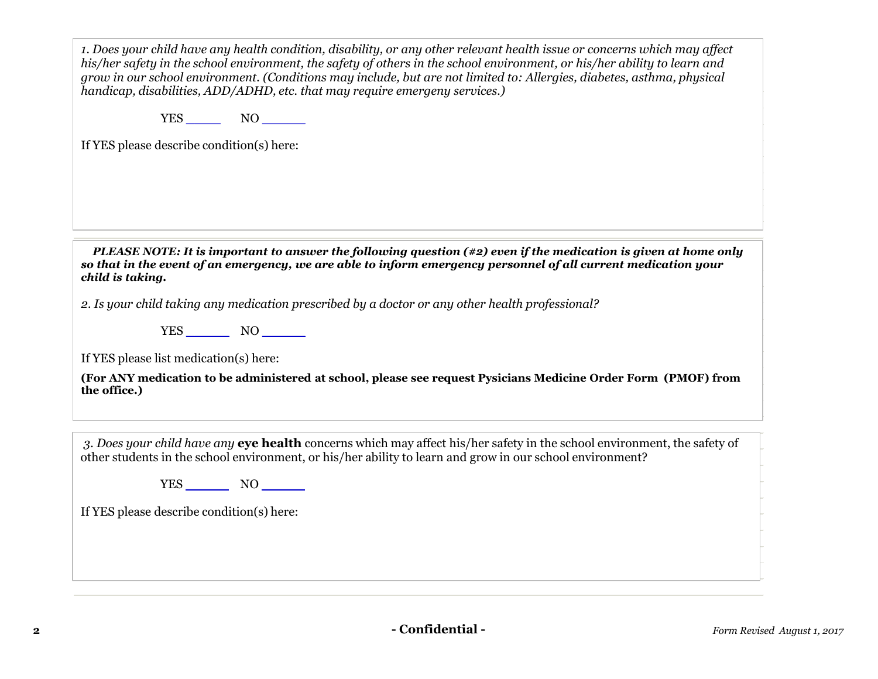*1. Does your child have any health condition, disability, or any other relevant health issue or concerns which may affect his/her safety in the school environment, the safety of others in the school environment, or his/her ability to learn and grow in our school environment. (Conditions may include, but are not limited to: Allergies, diabetes, asthma, physical handicap, disabilities, ADD/ADHD, etc. that may require emergeny services.)*

YES **\_\_\_\_** NO **\_\_\_\_\_**

If YES please describe condition(s) here:

*PLEASE NOTE: It is important to answer the following question (#2) even if the medication is given at home only so that in the event of an emergency, we are able to inform emergency personnel of all current medication your child is taking.*

*2. Is your child taking any medication prescribed by a doctor or any other health professional?*

YES **\_\_\_\_\_** NO **\_\_\_\_\_**

If YES please list medication(s) here:

**(For ANY medication to be administered at school, please see request Pysicians Medicine Order Form (PMOF) from the office.)**

*3. Does your child have any* **eye health** concerns which may affect his/her safety in the school environment, the safety of other students in the school environment, or his/her ability to learn and grow in our school environment?

YES **\_\_\_\_\_** NO **\_\_\_\_\_**

If YES please describe condition(s) here: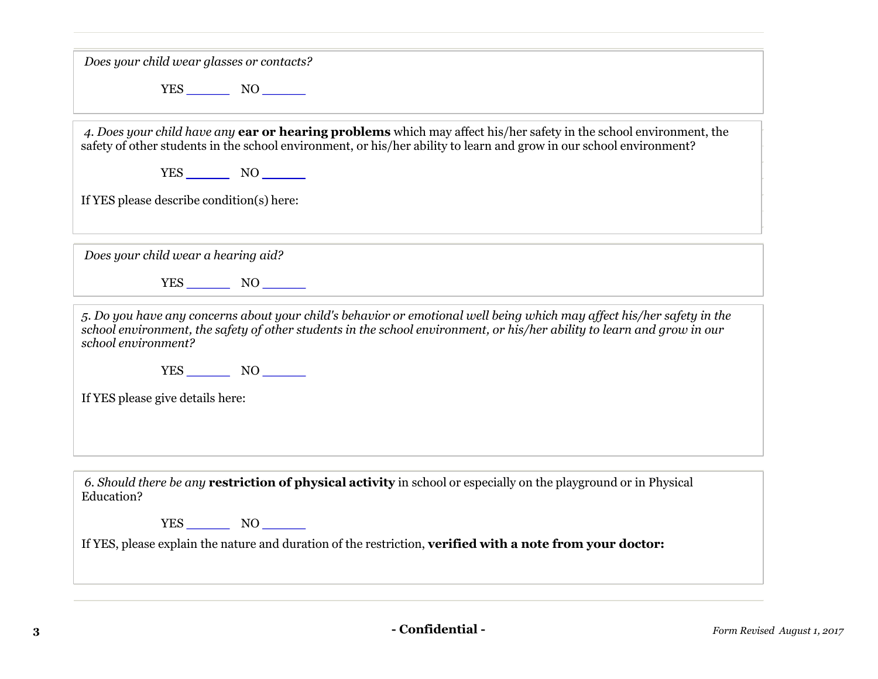| Does your child wear glasses or contacts?                                                                                                                                                                                                                                |  |  |  |
|--------------------------------------------------------------------------------------------------------------------------------------------------------------------------------------------------------------------------------------------------------------------------|--|--|--|
| $YES$ NO                                                                                                                                                                                                                                                                 |  |  |  |
| 4. Does your child have any <b>ear or hearing problems</b> which may affect his/her safety in the school environment, the<br>safety of other students in the school environment, or his/her ability to learn and grow in our school environment?                         |  |  |  |
| If YES please describe condition(s) here:                                                                                                                                                                                                                                |  |  |  |
| Does your child wear a hearing aid?                                                                                                                                                                                                                                      |  |  |  |
|                                                                                                                                                                                                                                                                          |  |  |  |
| 5. Do you have any concerns about your child's behavior or emotional well being which may affect his/her safety in the<br>school environment, the safety of other students in the school environment, or his/her ability to learn and grow in our<br>school environment? |  |  |  |
| $YES$ NO $\qquad$                                                                                                                                                                                                                                                        |  |  |  |
| If YES please give details here:                                                                                                                                                                                                                                         |  |  |  |
|                                                                                                                                                                                                                                                                          |  |  |  |
| 6. Should there be any <b>restriction of physical activity</b> in school or especially on the playground or in Physical<br>Education?                                                                                                                                    |  |  |  |
| YES NO                                                                                                                                                                                                                                                                   |  |  |  |
| If YES, please explain the nature and duration of the restriction, verified with a note from your doctor:                                                                                                                                                                |  |  |  |
|                                                                                                                                                                                                                                                                          |  |  |  |